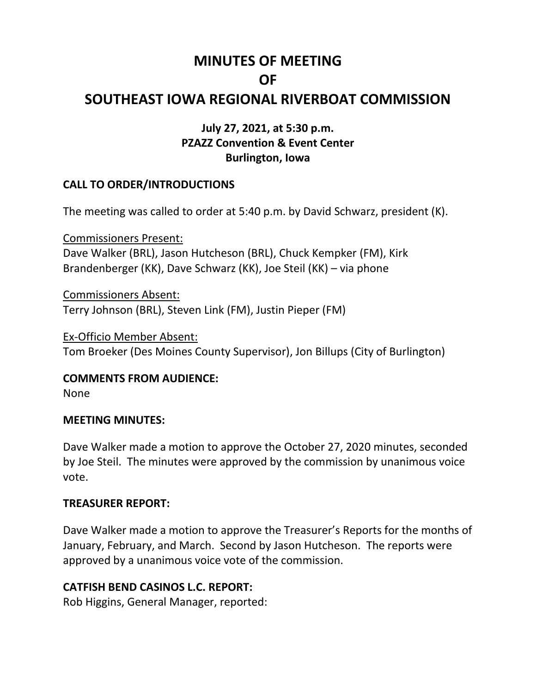# **MINUTES OF MEETING OF**

# **SOUTHEAST IOWA REGIONAL RIVERBOAT COMMISSION**

# **July 27, 2021, at 5:30 p.m. PZAZZ Convention & Event Center Burlington, Iowa**

# **CALL TO ORDER/INTRODUCTIONS**

The meeting was called to order at 5:40 p.m. by David Schwarz, president (K).

Commissioners Present: Dave Walker (BRL), Jason Hutcheson (BRL), Chuck Kempker (FM), Kirk Brandenberger (KK), Dave Schwarz (KK), Joe Steil (KK) – via phone

Commissioners Absent: Terry Johnson (BRL), Steven Link (FM), Justin Pieper (FM)

Ex-Officio Member Absent: Tom Broeker (Des Moines County Supervisor), Jon Billups (City of Burlington)

**COMMENTS FROM AUDIENCE:**

None

#### **MEETING MINUTES:**

Dave Walker made a motion to approve the October 27, 2020 minutes, seconded by Joe Steil. The minutes were approved by the commission by unanimous voice vote.

#### **TREASURER REPORT:**

Dave Walker made a motion to approve the Treasurer's Reports for the months of January, February, and March. Second by Jason Hutcheson. The reports were approved by a unanimous voice vote of the commission.

# **CATFISH BEND CASINOS L.C. REPORT:**

Rob Higgins, General Manager, reported: